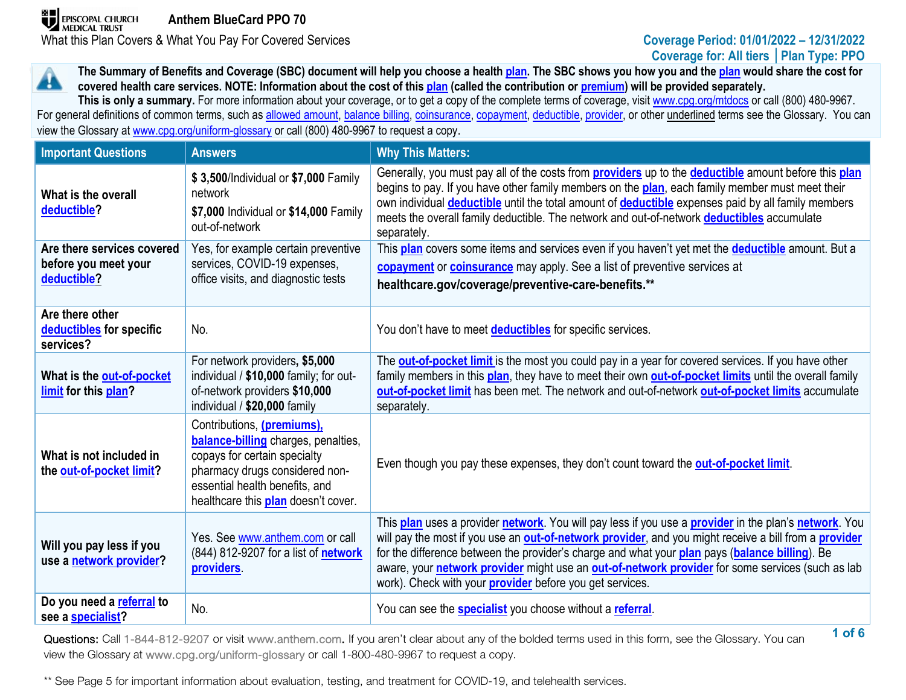**The Summary of Benefits and Coverage (SBC) document will help you choose a health [plan.](https://www.healthcare.gov/sbc-glossary/#plan) The SBC shows you how you and th[e plan](https://www.healthcare.gov/sbc-glossary/#plan) would share the cost for**  A **covered health care services. NOTE: Information about the cost of this [plan](https://www.healthcare.gov/sbc-glossary/#plan) (called the contribution or [premium\)](https://www.healthcare.gov/sbc-glossary/#premium) will be provided separately.**

This is only a summary. For more information about your coverage, or to get a copy of the complete terms of coverage, visi[t www.cpg.org/mtdocs](http://www.cpg.org/mtdocs) or call (800) 480-9967. For general definitions of common terms, such as [allowed amount,](https://www.healthcare.gov/sbc-glossary/#allowed-amount) [balance billing,](https://www.healthcare.gov/sbc-glossary/#balance-billing) [coinsurance,](https://www.healthcare.gov/sbc-glossary/#coinsurance) [copayment,](https://www.healthcare.gov/sbc-glossary/#copayment) [deductible,](https://www.healthcare.gov/sbc-glossary/#deductible) [provider,](https://www.healthcare.gov/sbc-glossary/#provider) or other underlined terms see the Glossary. You can view the Glossary at www.cpg.org/uniform-glossary or call (800) 480-9967 to request a copy.

| <b>Important Questions</b>                                        | <b>Answers</b>                                                                                                                                                                                               | <b>Why This Matters:</b>                                                                                                                                                                                                                                                                                                                                                                                                                                                                               |
|-------------------------------------------------------------------|--------------------------------------------------------------------------------------------------------------------------------------------------------------------------------------------------------------|--------------------------------------------------------------------------------------------------------------------------------------------------------------------------------------------------------------------------------------------------------------------------------------------------------------------------------------------------------------------------------------------------------------------------------------------------------------------------------------------------------|
| What is the overall<br>deductible?                                | \$3,500/Individual or \$7,000 Family<br>network<br>\$7,000 Individual or \$14,000 Family<br>out-of-network                                                                                                   | Generally, you must pay all of the costs from <b>providers</b> up to the <b>deductible</b> amount before this plan<br>begins to pay. If you have other family members on the plan, each family member must meet their<br>own individual <b>deductible</b> until the total amount of <b>deductible</b> expenses paid by all family members<br>meets the overall family deductible. The network and out-of-network deductibles accumulate<br>separately.                                                 |
| Are there services covered<br>before you meet your<br>deductible? | Yes, for example certain preventive<br>services, COVID-19 expenses,<br>office visits, and diagnostic tests                                                                                                   | This plan covers some items and services even if you haven't yet met the deductible amount. But a<br>copayment or coinsurance may apply. See a list of preventive services at<br>healthcare.gov/coverage/preventive-care-benefits.**                                                                                                                                                                                                                                                                   |
| Are there other<br>deductibles for specific<br>services?          | No.                                                                                                                                                                                                          | You don't have to meet <b>deductibles</b> for specific services.                                                                                                                                                                                                                                                                                                                                                                                                                                       |
| What is the out-of-pocket<br>limit for this plan?                 | For network providers, \$5,000<br>individual / \$10,000 family; for out-<br>of-network providers \$10,000<br>individual / \$20,000 family                                                                    | The <b>out-of-pocket limit</b> is the most you could pay in a year for covered services. If you have other<br>family members in this plan, they have to meet their own out-of-pocket limits until the overall family<br>out-of-pocket limit has been met. The network and out-of-network out-of-pocket limits accumulate<br>separately.                                                                                                                                                                |
| What is not included in<br>the out-of-pocket limit?               | Contributions, (premiums),<br>balance-billing charges, penalties,<br>copays for certain specialty<br>pharmacy drugs considered non-<br>essential health benefits, and<br>healthcare this plan doesn't cover. | Even though you pay these expenses, they don't count toward the out-of-pocket limit.                                                                                                                                                                                                                                                                                                                                                                                                                   |
| Will you pay less if you<br>use a network provider?               | Yes. See www.anthem.com or call<br>(844) 812-9207 for a list of <b>network</b><br>providers.                                                                                                                 | This plan uses a provider network. You will pay less if you use a provider in the plan's network. You<br>will pay the most if you use an <b>out-of-network provider</b> , and you might receive a bill from a <b>provider</b><br>for the difference between the provider's charge and what your plan pays (balance billing). Be<br>aware, your network provider might use an out-of-network provider for some services (such as lab<br>work). Check with your <b>provider</b> before you get services. |
| Do you need a referral to<br>see a specialist?                    | No.                                                                                                                                                                                                          | You can see the <b>specialist</b> you choose without a referral.                                                                                                                                                                                                                                                                                                                                                                                                                                       |

**1 of 6** Questions: Call 1-844-812-9207 or visit www.anthem.com. If you aren't clear about any of the bolded terms used in this form, see the Glossary. You can view the Glossary at www.cpg.org/uniform-glossary or call 1-800-480-9967 to request a copy.

\*\* See Page 5 for important information about evaluation, testing, and treatment for COVID-19, and telehealth services.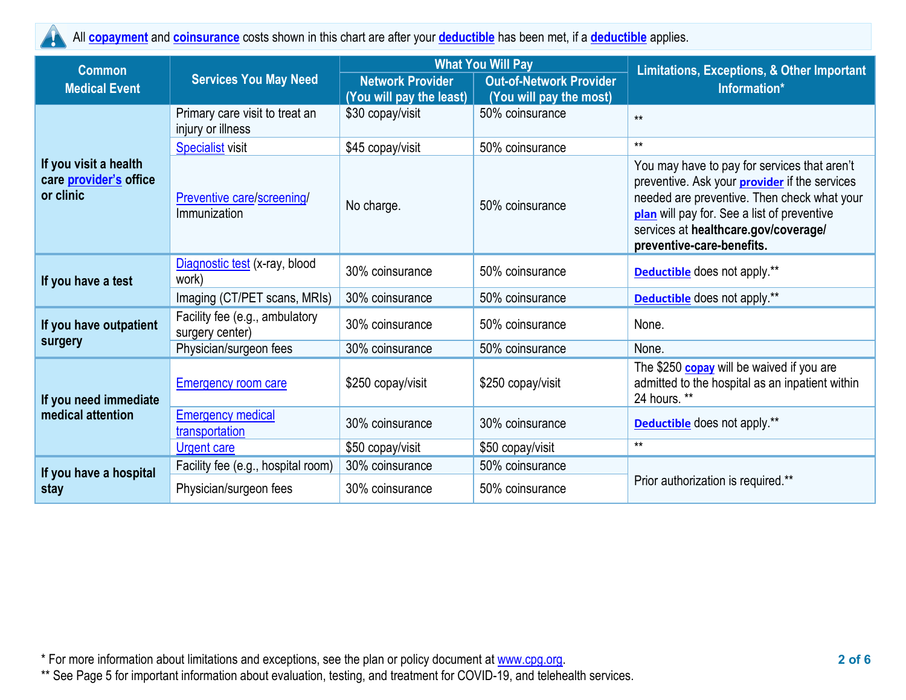All **[copayment](https://www.healthcare.gov/sbc-glossary/#copayment)** and **[coinsurance](https://www.healthcare.gov/sbc-glossary/#coinsurance)** costs shown in this chart are after your **[deductible](https://www.healthcare.gov/sbc-glossary/#deductible)** has been met, if a **[deductible](https://www.healthcare.gov/sbc-glossary/#deductible)** applies. H.

| <b>Common</b>                                                |                                                     |                                                     | <b>What You Will Pay</b>                                  | Limitations, Exceptions, & Other Important                                                                                                                                                                                                                              |  |  |
|--------------------------------------------------------------|-----------------------------------------------------|-----------------------------------------------------|-----------------------------------------------------------|-------------------------------------------------------------------------------------------------------------------------------------------------------------------------------------------------------------------------------------------------------------------------|--|--|
| <b>Services You May Need</b><br><b>Medical Event</b>         |                                                     | <b>Network Provider</b><br>(You will pay the least) | <b>Out-of-Network Provider</b><br>(You will pay the most) | Information*                                                                                                                                                                                                                                                            |  |  |
|                                                              | Primary care visit to treat an<br>injury or illness | \$30 copay/visit                                    | 50% coinsurance                                           | $**$                                                                                                                                                                                                                                                                    |  |  |
|                                                              | <b>Specialist visit</b>                             | \$45 copay/visit                                    | 50% coinsurance                                           | $**$                                                                                                                                                                                                                                                                    |  |  |
| If you visit a health<br>care provider's office<br>or clinic | <b>Preventive care/screening/</b><br>Immunization   | No charge.                                          | 50% coinsurance                                           | You may have to pay for services that aren't<br>preventive. Ask your <b>provider</b> if the services<br>needed are preventive. Then check what your<br>plan will pay for. See a list of preventive<br>services at healthcare.gov/coverage/<br>preventive-care-benefits. |  |  |
| If you have a test                                           | Diagnostic test (x-ray, blood<br>work)              | 30% coinsurance                                     | 50% coinsurance                                           | <b>Deductible</b> does not apply.**                                                                                                                                                                                                                                     |  |  |
|                                                              | Imaging (CT/PET scans, MRIs)                        | 30% coinsurance                                     | 50% coinsurance                                           | <b>Deductible</b> does not apply.**                                                                                                                                                                                                                                     |  |  |
| If you have outpatient                                       | Facility fee (e.g., ambulatory<br>surgery center)   | 30% coinsurance                                     | 50% coinsurance                                           | None.                                                                                                                                                                                                                                                                   |  |  |
| surgery                                                      | Physician/surgeon fees                              | 30% coinsurance                                     | 50% coinsurance                                           | None.                                                                                                                                                                                                                                                                   |  |  |
| If you need immediate                                        | <b>Emergency room care</b>                          | \$250 copay/visit                                   | \$250 copay/visit                                         | The \$250 copay will be waived if you are<br>admitted to the hospital as an inpatient within<br>24 hours. **                                                                                                                                                            |  |  |
| medical attention                                            | <b>Emergency medical</b><br>transportation          | 30% coinsurance                                     | 30% coinsurance                                           | Deductible does not apply.**                                                                                                                                                                                                                                            |  |  |
|                                                              | <b>Urgent care</b>                                  | \$50 copay/visit                                    | \$50 copay/visit                                          | $**$                                                                                                                                                                                                                                                                    |  |  |
| If you have a hospital                                       | Facility fee (e.g., hospital room)                  | 30% coinsurance                                     | 50% coinsurance                                           |                                                                                                                                                                                                                                                                         |  |  |
| stay                                                         | Physician/surgeon fees                              | 30% coinsurance                                     | 50% coinsurance                                           | Prior authorization is required.**                                                                                                                                                                                                                                      |  |  |

\* For more information about limitations and exceptions, see the plan or policy document at [www.cpg.org.](http://www.cpg.org/) **2 of 6**

\*\* See Page 5 for important information about evaluation, testing, and treatment for COVID-19, and telehealth services.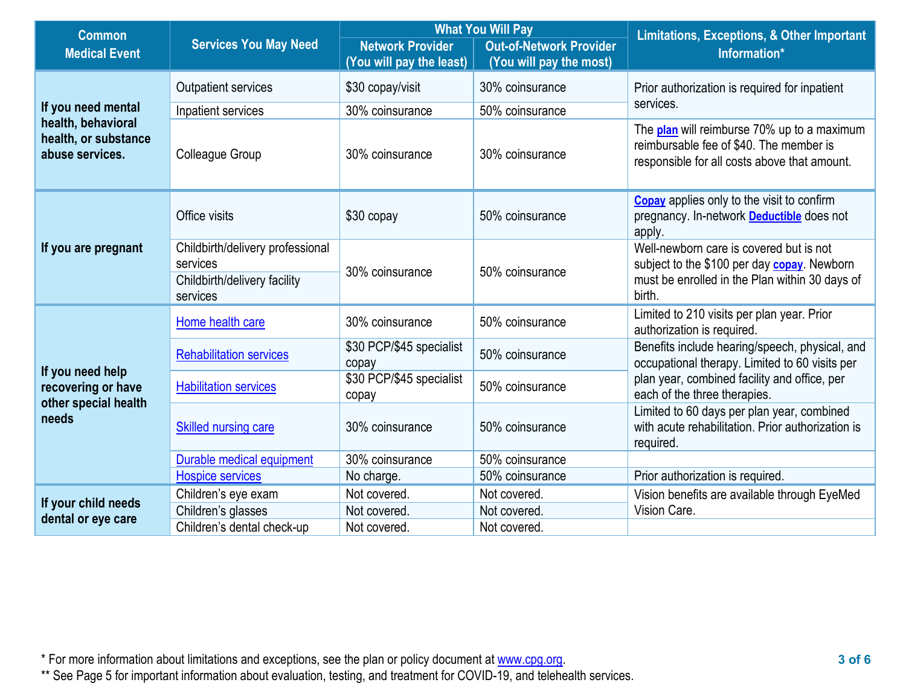| <b>Common</b>                                                 |                                                                                          |                                                     | <b>What You Will Pay</b>                                  | <b>Limitations, Exceptions, &amp; Other Important</b>                                                                                              |  |
|---------------------------------------------------------------|------------------------------------------------------------------------------------------|-----------------------------------------------------|-----------------------------------------------------------|----------------------------------------------------------------------------------------------------------------------------------------------------|--|
| <b>Medical Event</b>                                          | <b>Services You May Need</b>                                                             | <b>Network Provider</b><br>(You will pay the least) | <b>Out-of-Network Provider</b><br>(You will pay the most) | Information*                                                                                                                                       |  |
|                                                               | Outpatient services                                                                      | \$30 copay/visit                                    | 30% coinsurance                                           | Prior authorization is required for inpatient                                                                                                      |  |
| If you need mental                                            | Inpatient services                                                                       | 30% coinsurance                                     | 50% coinsurance                                           | services.                                                                                                                                          |  |
| health, behavioral<br>health, or substance<br>abuse services. | Colleague Group                                                                          | 30% coinsurance                                     | 30% coinsurance                                           | The plan will reimburse 70% up to a maximum<br>reimbursable fee of \$40. The member is<br>responsible for all costs above that amount.             |  |
|                                                               | Office visits                                                                            | \$30 copay                                          | 50% coinsurance                                           | <b>Copay</b> applies only to the visit to confirm<br>pregnancy. In-network <b>Deductible</b> does not<br>apply.                                    |  |
| If you are pregnant                                           | Childbirth/delivery professional<br>services<br>Childbirth/delivery facility<br>services | 30% coinsurance                                     | 50% coinsurance                                           | Well-newborn care is covered but is not<br>subject to the \$100 per day copay. Newborn<br>must be enrolled in the Plan within 30 days of<br>birth. |  |
|                                                               | Home health care                                                                         | 30% coinsurance                                     | 50% coinsurance                                           | Limited to 210 visits per plan year. Prior<br>authorization is required.                                                                           |  |
| If you need help                                              | <b>Rehabilitation services</b>                                                           | \$30 PCP/\$45 specialist<br>copay                   | 50% coinsurance                                           | Benefits include hearing/speech, physical, and<br>occupational therapy. Limited to 60 visits per                                                   |  |
| recovering or have<br>other special health                    | <b>Habilitation services</b>                                                             | \$30 PCP/\$45 specialist<br>copay                   | 50% coinsurance                                           | plan year, combined facility and office, per<br>each of the three therapies.                                                                       |  |
| needs                                                         | Skilled nursing care                                                                     | 30% coinsurance                                     | 50% coinsurance                                           | Limited to 60 days per plan year, combined<br>with acute rehabilitation. Prior authorization is<br>required.                                       |  |
|                                                               | Durable medical equipment                                                                | 30% coinsurance                                     | 50% coinsurance                                           |                                                                                                                                                    |  |
|                                                               | <b>Hospice services</b>                                                                  | No charge.                                          | 50% coinsurance                                           | Prior authorization is required.                                                                                                                   |  |
| If your child needs                                           | Children's eye exam                                                                      | Not covered.                                        | Not covered.                                              | Vision benefits are available through EyeMed                                                                                                       |  |
| dental or eye care                                            | Children's glasses                                                                       | Not covered.                                        | Not covered.                                              | Vision Care.                                                                                                                                       |  |
|                                                               | Children's dental check-up                                                               | Not covered.                                        | Not covered.                                              |                                                                                                                                                    |  |

\* For more information about limitations and exceptions, see the plan or policy document at [www.cpg.org.](http://www.cpg.org/) **3 of 6**

\*\* See Page 5 for important information about evaluation, testing, and treatment for COVID-19, and telehealth services.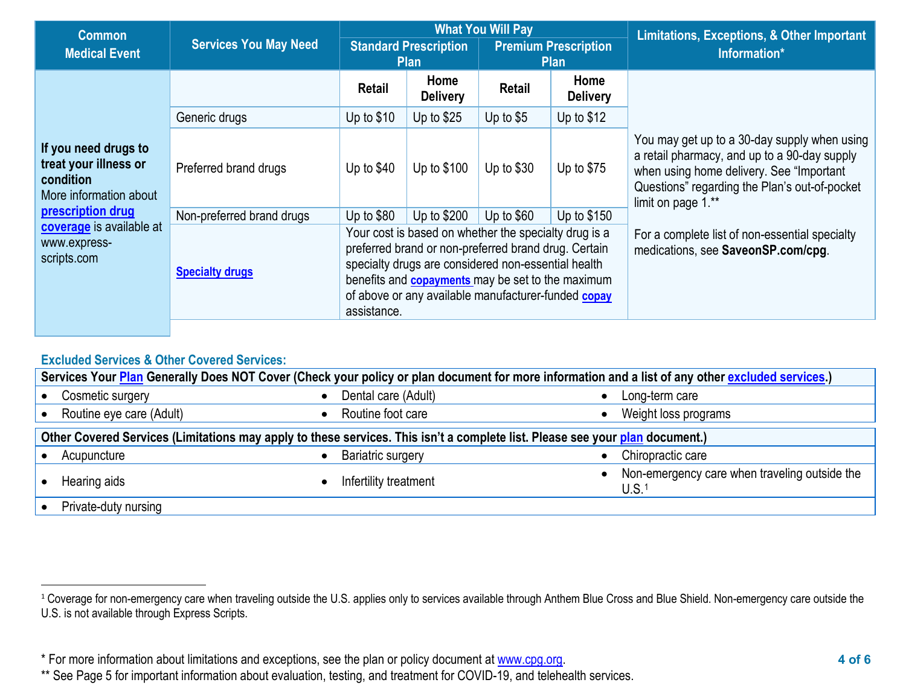<span id="page-3-0"></span>

| <b>Common</b>                                                                                                                                                        |                              | <b>What You Will Pay</b>                                                                                                                                                                                                                                                                               |                                                                                           |             | <b>Limitations, Exceptions, &amp; Other Important</b> |                                                                                                                                                                                                                  |
|----------------------------------------------------------------------------------------------------------------------------------------------------------------------|------------------------------|--------------------------------------------------------------------------------------------------------------------------------------------------------------------------------------------------------------------------------------------------------------------------------------------------------|-------------------------------------------------------------------------------------------|-------------|-------------------------------------------------------|------------------------------------------------------------------------------------------------------------------------------------------------------------------------------------------------------------------|
| <b>Medical Event</b>                                                                                                                                                 | <b>Services You May Need</b> |                                                                                                                                                                                                                                                                                                        | <b>Standard Prescription</b><br><b>Premium Prescription</b><br><b>Plan</b><br><b>Plan</b> |             |                                                       | Information*                                                                                                                                                                                                     |
|                                                                                                                                                                      |                              | Retail                                                                                                                                                                                                                                                                                                 | Home<br><b>Delivery</b>                                                                   | Retail      | Home<br><b>Delivery</b>                               |                                                                                                                                                                                                                  |
|                                                                                                                                                                      | Generic drugs                | Up to $$10$                                                                                                                                                                                                                                                                                            | Up to $$25$                                                                               | Up to $$5$  | Up to $$12$                                           |                                                                                                                                                                                                                  |
| If you need drugs to<br>treat your illness or<br>condition<br>More information about<br>prescription drug<br>coverage is available at<br>www.express-<br>scripts.com | Preferred brand drugs        | Up to $$40$                                                                                                                                                                                                                                                                                            | Up to \$100                                                                               | Up to $$30$ | Up to $$75$                                           | You may get up to a 30-day supply when using<br>a retail pharmacy, and up to a 90-day supply<br>when using home delivery. See "Important"<br>Questions" regarding the Plan's out-of-pocket<br>limit on page 1.** |
|                                                                                                                                                                      | Non-preferred brand drugs    | Up to $$80$                                                                                                                                                                                                                                                                                            | Up to \$200                                                                               | Up to $$60$ | Up to $$150$                                          |                                                                                                                                                                                                                  |
|                                                                                                                                                                      | <b>Specialty drugs</b>       | Your cost is based on whether the specialty drug is a<br>preferred brand or non-preferred brand drug. Certain<br>specialty drugs are considered non-essential health<br>benefits and <b>copayments</b> may be set to the maximum<br>of above or any available manufacturer-funded copay<br>assistance. |                                                                                           |             |                                                       | For a complete list of non-essential specialty<br>medications, see SaveonSP.com/cpg.                                                                                                                             |

# **Excluded Services & Other Covered Services:**

| Services Your Plan Generally Does NOT Cover (Check your policy or plan document for more information and a list of any other excluded services.) |                                                                                                                              |                                                                      |  |  |  |
|--------------------------------------------------------------------------------------------------------------------------------------------------|------------------------------------------------------------------------------------------------------------------------------|----------------------------------------------------------------------|--|--|--|
| Cosmetic surgery<br>$\bullet$                                                                                                                    | Dental care (Adult)<br>$\bullet$                                                                                             | Long-term care                                                       |  |  |  |
| Routine eye care (Adult)                                                                                                                         | Routine foot care                                                                                                            | Weight loss programs                                                 |  |  |  |
|                                                                                                                                                  | Other Covered Services (Limitations may apply to these services. This isn't a complete list. Please see your plan document.) |                                                                      |  |  |  |
| Acupuncture                                                                                                                                      | <b>Bariatric surgery</b>                                                                                                     | Chiropractic care                                                    |  |  |  |
| Hearing aids                                                                                                                                     | Infertility treatment                                                                                                        | • Non-emergency care when traveling outside the<br>U.S. <sub>1</sub> |  |  |  |
| Private-duty nursing                                                                                                                             |                                                                                                                              |                                                                      |  |  |  |

<sup>&</sup>lt;sup>1</sup> Coverage for non-emergency care when traveling outside the U.S. applies only to services available through Anthem Blue Cross and Blue Shield. Non-emergency care outside the U.S. is not available through Express Scripts.

<sup>\*</sup> For more information about limitations and exceptions, see the plan or policy document at [www.cpg.org.](http://www.cpg.org/) **4 of 6**

<sup>\*\*</sup> See Page 5 for important information about evaluation, testing, and treatment for COVID-19, and telehealth services.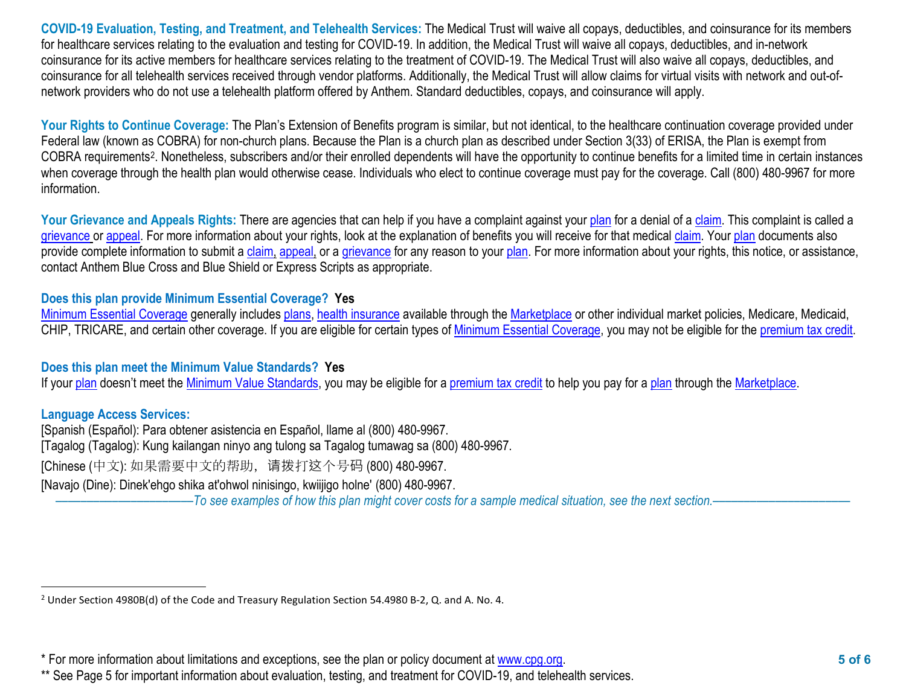<span id="page-4-0"></span>**COVID-19 Evaluation, Testing, and Treatment, and Telehealth Services:** The Medical Trust will waive all copays, deductibles, and coinsurance for its members for healthcare services relating to the evaluation and testing for COVID-19. In addition, the Medical Trust will waive all copays, deductibles, and in-network coinsurance for its active members for healthcare services relating to the treatment of COVID-19. The Medical Trust will also waive all copays, deductibles, and coinsurance for all telehealth services received through vendor platforms. Additionally, the Medical Trust will allow claims for virtual visits with network and out-ofnetwork providers who do not use a telehealth platform offered by Anthem. Standard deductibles, copays, and coinsurance will apply.

Your Rights to Continue Coverage: The Plan's Extension of Benefits program is similar, but not identical, to the healthcare continuation coverage provided under Federal law (known as COBRA) for non-church plans. Because the Plan is a church plan as described under Section 3(33) of ERISA, the Plan is exempt from COBRA requirements[2](#page-4-0). Nonetheless, subscribers and/or their enrolled dependents will have the opportunity to continue benefits for a limited time in certain instances when coverage through the health plan would otherwise cease. Individuals who elect to continue coverage must pay for the coverage. Call (800) 480-9967 for more information.

Your Grievance and Appeals Rights: There are agencies that can help if you have a complaint against you[r plan](https://www.healthcare.gov/sbc-glossary/#plan) for a denial of a [claim.](https://www.healthcare.gov/sbc-glossary/#claim) This complaint is called a [grievance](https://www.healthcare.gov/sbc-glossary/#grievance) or [appeal.](https://www.healthcare.gov/sbc-glossary/#appeal) For more information about your rights, look at the explanation of benefits you will receive for that medica[l claim.](https://www.healthcare.gov/sbc-glossary/#claim) Your [plan](https://www.healthcare.gov/sbc-glossary/#plan) documents also provide complete information to submit a [claim,](https://www.healthcare.gov/sbc-glossary/#claim) [appeal,](https://www.healthcare.gov/sbc-glossary/#appeal) or a [grievance](https://www.healthcare.gov/sbc-glossary/#grievance) for any reason to your [plan.](https://www.healthcare.gov/sbc-glossary/#plan) For more information about your rights, this notice, or assistance, contact Anthem Blue Cross and Blue Shield or Express Scripts as appropriate.

# **Does this plan provide Minimum Essential Coverage? Yes**

[Minimum Essential Coverage](https://www.healthcare.gov/sbc-glossary/#minimum-essential-coverage) generally includes [plans,](https://www.healthcare.gov/sbc-glossary/#plan) [health insurance](https://www.healthcare.gov/sbc-glossary/#health-insurance) available through the [Marketplace](https://www.healthcare.gov/sbc-glossary/#marketplace) or other individual market policies, Medicare, Medicaid, CHIP, TRICARE, and certain other coverage. If you are eligible for certain types of [Minimum Essential Coverage,](https://www.healthcare.gov/sbc-glossary/#minimum-essential-coverage) you may not be eligible for the [premium tax credit.](https://www.healthcare.gov/sbc-glossary/#premium-tax-credits)

### **Does this plan meet the Minimum Value Standards? Yes**

If your [plan](https://www.healthcare.gov/sbc-glossary/#plan) doesn't meet the [Minimum Value Standards,](https://www.healthcare.gov/sbc-glossary/#minimum-value-standard) you may be eligible for a [premium tax credit](https://www.healthcare.gov/sbc-glossary/#premium-tax-credits) to help you pay for a plan through the [Marketplace.](https://www.healthcare.gov/sbc-glossary/#marketplace)

### **Language Access Services:**

[Spanish (Español): Para obtener asistencia en Español, llame al (800) 480-9967. [Tagalog (Tagalog): Kung kailangan ninyo ang tulong sa Tagalog tumawag sa (800) 480-9967. [Chinese (中文): 如果需要中文的帮助,请拨打这个号码 (800) 480-9967.

[Navajo (Dine): Dinek'ehgo shika at'ohwol ninisingo, kwiijigo holne' (800) 480-9967.

––––––––––––––––––––––*To see examples of how this plan might cover costs for a sample medical situation, see the next section.–––––––––––*–––––––––––

<sup>2</sup> Under Section 4980B(d) of the Code and Treasury Regulation Section 54.4980 B-2, Q. and A. No. 4.

<sup>\*</sup> For more information about limitations and exceptions, see the plan or policy document at [www.cpg.org.](http://www.cpg.org/) **5 of 6**

<sup>\*\*</sup> See Page 5 for important information about evaluation, testing, and treatment for COVID-19, and telehealth services.